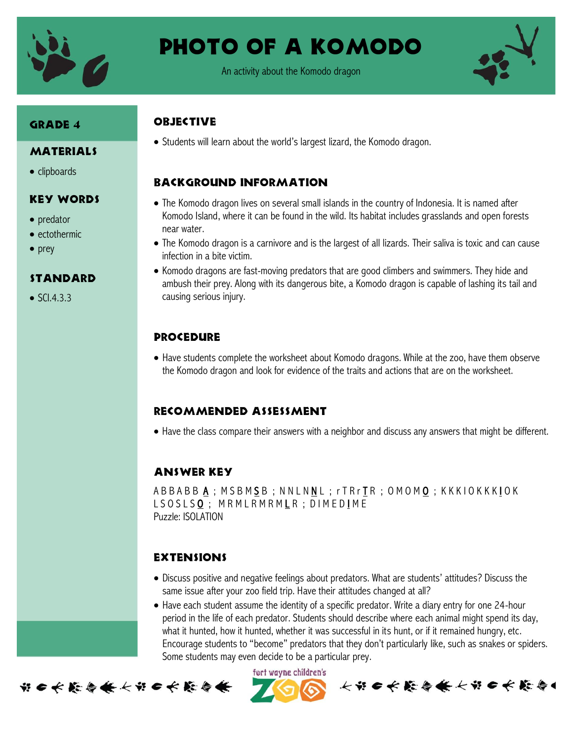

Photo of a Komodo

An activity about the Komodo dragon



# Grade 4

#### **MATERIALS**

• clipboards

#### Key Words

- predator
- ectothermic
- $\bullet$  prey

## **STANDARD**

 $\bullet$  SCI.4.3.3

# **OBJECTIVE**

• Students will learn about the world's largest lizard, the Komodo dragon.

# Background information

- The Komodo dragon lives on several small islands in the country of Indonesia. It is named after Komodo Island, where it can be found in the wild. Its habitat includes grasslands and open forests near water.
- The Komodo dragon is a carnivore and is the largest of all lizards. Their saliva is toxic and can cause infection in a bite victim.
- Komodo dragons are fast-moving predators that are good climbers and swimmers. They hide and ambush their prey. Along with its dangerous bite, a Komodo dragon is capable of lashing its tail and causing serious injury.

## **PROCEDURE**

 Have students complete the worksheet about Komodo dragons. While at the zoo, have them observe the Komodo dragon and look for evidence of the traits and actions that are on the worksheet.

#### Recommended assessment

Have the class compare their answers with a neighbor and discuss any answers that might be different.

## Answer key

A B B A B A ; M S B M S B ; N N L N N L ; r T R r T R ; O M O M O ; K K K I O K K K L O K L S O S L S <u>O</u> ; M R M L R M R M L R ; D I M E D I M E Puzzle: ISOLATION

## **EXTENSIONS**

- Discuss positive and negative feelings about predators. What are students' attitudes? Discuss the same issue after your zoo field trip. Have their attitudes changed at all?
- Have each student assume the identity of a specific predator. Write a diary entry for one 24-hour period in the life of each predator. Students should describe where each animal might spend its day, what it hunted, how it hunted, whether it was successful in its hunt, or if it remained hungry, etc. Encourage students to "become" predators that they don't particularly like, such as snakes or spiders. Some students may even decide to be a particular prey.

fort wayne children's



长节6长能与长长节6长能与1